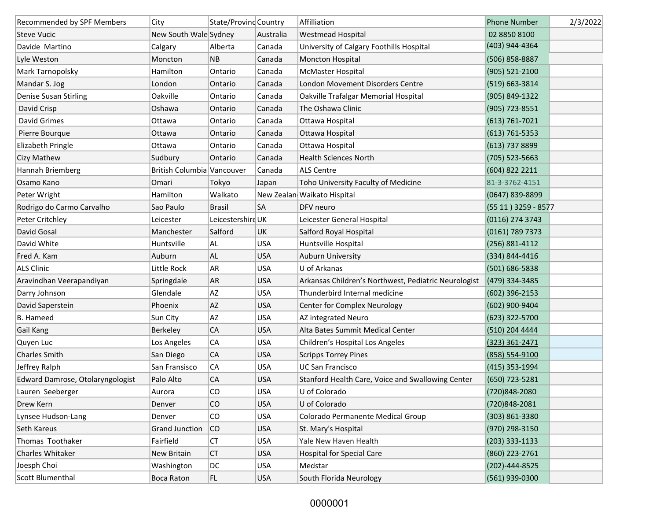| Recommended by SPF Members       | City                       | State/Provind Country |            | Affilliation                                         | <b>Phone Number</b>  | 2/3/2022 |
|----------------------------------|----------------------------|-----------------------|------------|------------------------------------------------------|----------------------|----------|
| <b>Steve Vucic</b>               | New South Wale Sydney      |                       | Australia  | <b>Westmead Hospital</b>                             | 02 8850 8100         |          |
| Davide Martino                   | Calgary                    | Alberta               | Canada     | University of Calgary Foothills Hospital             | (403) 944-4364       |          |
| Lyle Weston                      | Moncton                    | NB                    | Canada     | Moncton Hospital                                     | (506) 858-8887       |          |
| Mark Tarnopolsky                 | Hamilton                   | Ontario               | Canada     | McMaster Hospital                                    | (905) 521-2100       |          |
| Mandar S. Jog                    | London                     | Ontario               | Canada     | London Movement Disorders Centre                     | (519) 663-3814       |          |
| Denise Susan Stirling            | Oakville                   | Ontario               | Canada     | Oakville Trafalgar Memorial Hospital                 | (905) 849-1322       |          |
| David Crisp                      | Oshawa                     | Ontario               | Canada     | The Oshawa Clinic                                    | (905) 723-8551       |          |
| David Grimes                     | Ottawa                     | Ontario               | Canada     | Ottawa Hospital                                      | $(613) 761 - 7021$   |          |
| Pierre Bourque                   | Ottawa                     | Ontario               | Canada     | Ottawa Hospital                                      | $(613) 761 - 5353$   |          |
| Elizabeth Pringle                | Ottawa                     | Ontario               | Canada     | Ottawa Hospital                                      | (613) 737 8899       |          |
| Cizy Mathew                      | Sudbury                    | Ontario               | Canada     | <b>Health Sciences North</b>                         | $(705)$ 523-5663     |          |
| Hannah Briemberg                 | British Columbia Vancouver |                       | Canada     | <b>ALS Centre</b>                                    | (604) 822 2211       |          |
| Osamo Kano                       | Omari                      | Tokyo                 | Japan      | Toho University Faculty of Medicine                  | 81-3-3762-4151       |          |
| Peter Wright                     | Hamilton                   | Walkato               |            | New Zealan Waikato Hispital                          | (0647) 839-8899      |          |
| Rodrigo do Carmo Carvalho        | Sao Paulo                  | <b>Brasil</b>         | SA         | DFV neuro                                            | (55 11 ) 3259 - 8577 |          |
| Peter Critchley                  | Leicester                  | Leicestershire UK     |            | Leicester General Hospital                           | (0116) 274 3743      |          |
| David Gosal                      | Manchester                 | Salford               | UK         | Salford Royal Hospital                               | (0161) 789 7373      |          |
| David White                      | Huntsville                 | AL                    | <b>USA</b> | Huntsville Hospital                                  | (256) 881-4112       |          |
| Fred A. Kam                      | Auburn                     | AL                    | <b>USA</b> | <b>Auburn University</b>                             | (334) 844-4416       |          |
| <b>ALS Clinic</b>                | Little Rock                | <b>AR</b>             | <b>USA</b> | U of Arkanas                                         | (501) 686-5838       |          |
| Aravindhan Veerapandiyan         | Springdale                 | AR                    | <b>USA</b> | Arkansas Children's Northwest, Pediatric Neurologist | (479) 334-3485       |          |
| Darry Johnson                    | Glendale                   | AZ                    | <b>USA</b> | Thunderbird Internal medicine                        | $(602)$ 396-2153     |          |
| David Saperstein                 | Phoenix                    | AZ                    | <b>USA</b> | Center for Complex Neurology                         | (602) 900-9404       |          |
| <b>B.</b> Hameed                 | Sun City                   | AZ                    | <b>USA</b> | AZ integrated Neuro                                  | (623) 322-5700       |          |
| Gail Kang                        | Berkeley                   | CA                    | <b>USA</b> | Alta Bates Summit Medical Center                     | (510) 204 4444       |          |
| Quyen Luc                        | Los Angeles                | CA                    | <b>USA</b> | Children's Hospital Los Angeles                      | $(323)$ 361-2471     |          |
| <b>Charles Smith</b>             | San Diego                  | CA                    | <b>USA</b> | <b>Scripps Torrey Pines</b>                          | (858) 554-9100       |          |
| Jeffrey Ralph                    | San Fransisco              | CA                    | <b>USA</b> | <b>UC San Francisco</b>                              | (415) 353-1994       |          |
| Edward Damrose, Otolaryngologist | Palo Alto                  | CA                    | <b>USA</b> | Stanford Health Care, Voice and Swallowing Center    | (650) 723-5281       |          |
| Lauren Seeberger                 | Aurora                     | CO                    | <b>USA</b> | U of Colorado                                        | (720)848-2080        |          |
| Drew Kern                        | Denver                     | CO                    | <b>USA</b> | U of Colorado                                        | (720)848-2081        |          |
| Lynsee Hudson-Lang               | Denver                     | CO                    | <b>USA</b> | Colorado Permanente Medical Group                    | (303) 861-3380       |          |
| Seth Kareus                      | <b>Grand Junction</b>      | co                    | <b>USA</b> | St. Mary's Hospital                                  | (970) 298-3150       |          |
| Thomas Toothaker                 | Fairfield                  | CT                    | <b>USA</b> | Yale New Haven Health                                | $(203)$ 333-1133     |          |
| Charles Whitaker                 | New Britain                | <b>CT</b>             | <b>USA</b> | <b>Hospital for Special Care</b>                     | (860) 223-2761       |          |
| Joesph Choi                      | Washington                 | DC                    | <b>USA</b> | Medstar                                              | (202)-444-8525       |          |
| Scott Blumenthal                 | Boca Raton                 | FL                    | <b>USA</b> | South Florida Neurology                              | (561) 939-0300       |          |

## 0000001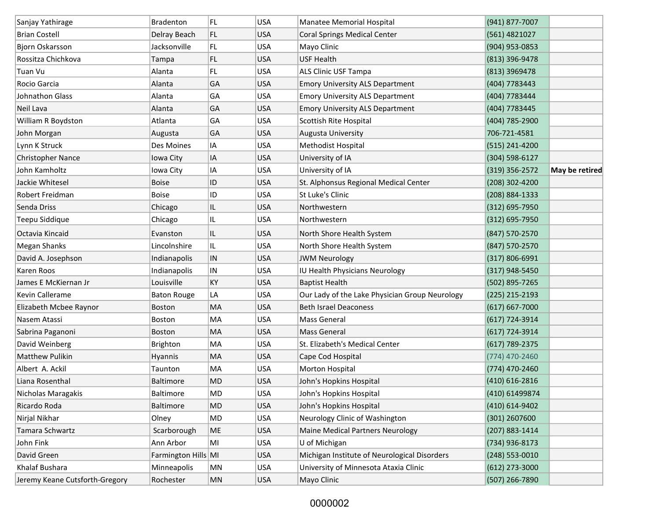| Sanjay Yathirage               | <b>Bradenton</b>    | FL        | <b>USA</b> | Manatee Memorial Hospital                      | (941) 877-7007     |                |
|--------------------------------|---------------------|-----------|------------|------------------------------------------------|--------------------|----------------|
| <b>Brian Costell</b>           | Delray Beach        | FL.       | <b>USA</b> | <b>Coral Springs Medical Center</b>            | (561) 4821027      |                |
| Bjorn Oskarsson                | Jacksonville        | FL        | <b>USA</b> | Mayo Clinic                                    | (904) 953-0853     |                |
| Rossitza Chichkova             | Tampa               | FL        | <b>USA</b> | <b>USF Health</b>                              | (813) 396-9478     |                |
| Tuan Vu                        | Alanta              | FL.       | <b>USA</b> | <b>ALS Clinic USF Tampa</b>                    | (813) 3969478      |                |
| Rocio Garcia                   | Alanta              | GA        | <b>USA</b> | <b>Emory University ALS Department</b>         | (404) 7783443      |                |
| <b>Johnathon Glass</b>         | Alanta              | GA        | <b>USA</b> | <b>Emory University ALS Department</b>         | (404) 7783444      |                |
| Neil Lava                      | Alanta              | GA        | <b>USA</b> | <b>Emory University ALS Department</b>         | (404) 7783445      |                |
| William R Boydston             | Atlanta             | GА        | <b>USA</b> | Scottish Rite Hospital                         | (404) 785-2900     |                |
| John Morgan                    | Augusta             | GA        | <b>USA</b> | Augusta University                             | 706-721-4581       |                |
| Lynn K Struck                  | Des Moines          | ΙA        | <b>USA</b> | Methodist Hospital                             | (515) 241-4200     |                |
| <b>Christopher Nance</b>       | Iowa City           | IA        | <b>USA</b> | University of IA                               | (304) 598-6127     |                |
| John Kamholtz                  | Iowa City           | IA        | <b>USA</b> | University of IA                               | (319) 356-2572     | May be retired |
| Jackie Whitesel                | <b>Boise</b>        | ID        | <b>USA</b> | St. Alphonsus Regional Medical Center          | (208) 302-4200     |                |
| Robert Freidman                | <b>Boise</b>        | ID        | <b>USA</b> | St Luke's Clinic                               | (208) 884-1333     |                |
| Senda Driss                    | Chicago             | IL.       | <b>USA</b> | Northwestern                                   | (312) 695-7950     |                |
| Teepu Siddique                 | Chicago             | IL.       | <b>USA</b> | Northwestern                                   | $(312) 695 - 7950$ |                |
| Octavia Kincaid                | Evanston            | IL.       | <b>USA</b> | North Shore Health System                      | (847) 570-2570     |                |
| Megan Shanks                   | Lincolnshire        | IL        | <b>USA</b> | North Shore Health System                      | (847) 570-2570     |                |
| David A. Josephson             | Indianapolis        | IN        | <b>USA</b> | <b>JWM Neurology</b>                           | $(317) 806 - 6991$ |                |
| Karen Roos                     | Indianapolis        | IN        | <b>USA</b> | IU Health Physicians Neurology                 | $(317)$ 948-5450   |                |
| James E McKiernan Jr           | Louisville          | <b>KY</b> | <b>USA</b> | <b>Baptist Health</b>                          | (502) 895-7265     |                |
| <b>Kevin Callerame</b>         | <b>Baton Rouge</b>  | LA        | <b>USA</b> | Our Lady of the Lake Physician Group Neurology | (225) 215-2193     |                |
| Elizabeth Mcbee Raynor         | Boston              | MA        | <b>USA</b> | <b>Beth Israel Deaconess</b>                   | $(617) 667 - 7000$ |                |
| Nasem Atassi                   | Boston              | MA        | <b>USA</b> | <b>Mass General</b>                            | $(617)$ 724-3914   |                |
| Sabrina Paganoni               | Boston              | MA        | <b>USA</b> | <b>Mass General</b>                            | (617) 724-3914     |                |
| David Weinberg                 | Brighton            | MA        | <b>USA</b> | St. Elizabeth's Medical Center                 | (617) 789-2375     |                |
| <b>Matthew Pulikin</b>         | Hyannis             | MA        | <b>USA</b> | Cape Cod Hospital                              | (774) 470-2460     |                |
| Albert A. Ackil                | Taunton             | MA        | <b>USA</b> | Morton Hospital                                | (774) 470-2460     |                |
| Liana Rosenthal                | Baltimore           | MD        | <b>USA</b> | John's Hopkins Hospital                        | (410) 616-2816     |                |
| Nicholas Maragakis             | Baltimore           | MD        | <b>USA</b> | John's Hopkins Hospital                        | (410) 61499874     |                |
| Ricardo Roda                   | Baltimore           | MD        | <b>USA</b> | John's Hopkins Hospital                        | (410) 614-9402     |                |
| Nirjal Nikhar                  | Olney               | MD        | <b>USA</b> | Neurology Clinic of Washington                 | (301) 2607600      |                |
| Tamara Schwartz                | Scarborough         | ME        | <b>USA</b> | <b>Maine Medical Partners Neurology</b>        | (207) 883-1414     |                |
| John Fink                      | Ann Arbor           | MI        | <b>USA</b> | U of Michigan                                  | (734) 936-8173     |                |
| David Green                    | Farmington Hills MI |           | <b>USA</b> | Michigan Institute of Neurological Disorders   | $(248)$ 553-0010   |                |
| Khalaf Bushara                 | Minneapolis         | ΜN        | <b>USA</b> | University of Minnesota Ataxia Clinic          | $(612)$ 273-3000   |                |
| Jeremy Keane Cutsforth-Gregory | Rochester           | MN        | <b>USA</b> | Mayo Clinic                                    | (507) 266-7890     |                |

## 0000002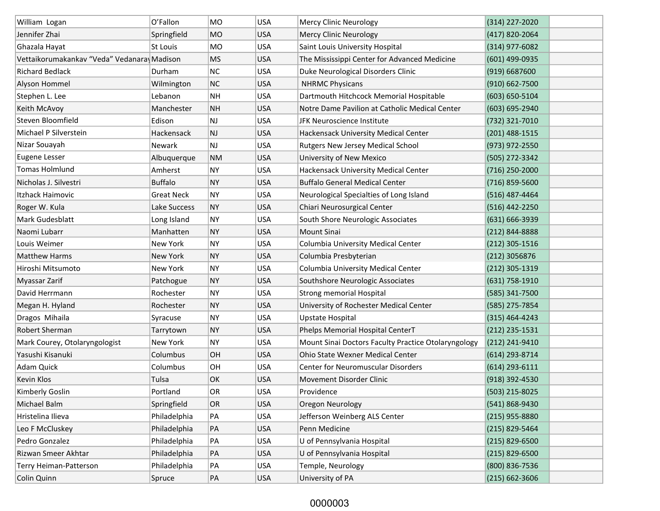| William Logan                              | O'Fallon          | <b>MO</b> | <b>USA</b> | Mercy Clinic Neurology                              | (314) 227-2020     |
|--------------------------------------------|-------------------|-----------|------------|-----------------------------------------------------|--------------------|
| Jennifer Zhai                              | Springfield       | <b>MO</b> | <b>USA</b> | Mercy Clinic Neurology                              | (417) 820-2064     |
| Ghazala Hayat                              | St Louis          | <b>MO</b> | <b>USA</b> | Saint Louis University Hospital                     | (314) 977-6082     |
| Vettaikorumakankav "Veda" Vedanara Madison |                   | <b>MS</b> | <b>USA</b> | The Mississippi Center for Advanced Medicine        | $(601)$ 499-0935   |
| <b>Richard Bedlack</b>                     | Durham            | <b>NC</b> | <b>USA</b> | Duke Neurological Disorders Clinic                  | (919) 6687600      |
| Alyson Hommel                              | Wilmington        | <b>NC</b> | <b>USA</b> | <b>NHRMC Physicans</b>                              | $(910) 662 - 7500$ |
| Stephen L. Lee                             | Lebanon           | <b>NH</b> | <b>USA</b> | Dartmouth Hitchcock Memorial Hospitable             | $(603) 650 - 5104$ |
| Keith McAvoy                               | Manchester        | <b>NH</b> | <b>USA</b> | Notre Dame Pavilion at Catholic Medical Center      | (603) 695-2940     |
| Steven Bloomfield                          | Edison            | NJ        | <b>USA</b> | JFK Neuroscience Institute                          | (732) 321-7010     |
| Michael P Silverstein                      | Hackensack        | <b>NJ</b> | <b>USA</b> | Hackensack University Medical Center                | $(201)$ 488-1515   |
| Nizar Souayah                              | <b>Newark</b>     | NJ        | <b>USA</b> | Rutgers New Jersey Medical School                   | (973) 972-2550     |
| <b>Eugene Lesser</b>                       | Albuquerque       | <b>NM</b> | <b>USA</b> | University of New Mexico                            | (505) 272-3342     |
| <b>Tomas Holmlund</b>                      | Amherst           | <b>NY</b> | <b>USA</b> | Hackensack University Medical Center                | $(716)$ 250-2000   |
| Nicholas J. Silvestri                      | <b>Buffalo</b>    | <b>NY</b> | <b>USA</b> | <b>Buffalo General Medical Center</b>               | (716) 859-5600     |
| Itzhack Haimovic                           | <b>Great Neck</b> | NY        | <b>USA</b> | Neurological Specialties of Long Island             | $(516)$ 487-4464   |
| Roger W. Kula                              | Lake Success      | <b>NY</b> | <b>USA</b> | Chiari Neurosurgical Center                         | $(516)$ 442-2250   |
| Mark Gudesblatt                            | Long Island       | <b>NY</b> | <b>USA</b> | South Shore Neurologic Associates                   | $(631) 666 - 3939$ |
| Naomi Lubarr                               | Manhatten         | <b>NY</b> | <b>USA</b> | <b>Mount Sinai</b>                                  | (212) 844-8888     |
| Louis Weimer                               | New York          | <b>NY</b> | <b>USA</b> | Columbia University Medical Center                  | $(212)$ 305-1516   |
| Matthew Harms                              | New York          | <b>NY</b> | <b>USA</b> | Columbia Presbyterian                               | $(212)$ 3056876    |
| Hiroshi Mitsumoto                          | New York          | <b>NY</b> | <b>USA</b> | Columbia University Medical Center                  | (212) 305-1319     |
| Myassar Zarif                              | Patchogue         | <b>NY</b> | <b>USA</b> | Southshore Neurologic Associates                    | $(631) 758 - 1910$ |
| David Herrmann                             | Rochester         | <b>NY</b> | <b>USA</b> | <b>Strong memorial Hospital</b>                     | (585) 341-7500     |
| Megan H. Hyland                            | Rochester         | <b>NY</b> | <b>USA</b> | University of Rochester Medical Center              | (585) 275-7854     |
| Dragos Mihaila                             | Syracuse          | <b>NY</b> | <b>USA</b> | <b>Upstate Hospital</b>                             | $(315) 464 - 4243$ |
| Robert Sherman                             | Tarrytown         | <b>NY</b> | <b>USA</b> | Phelps Memorial Hospital CenterT                    | $(212)$ 235-1531   |
| Mark Courey, Otolaryngologist              | New York          | NY        | <b>USA</b> | Mount Sinai Doctors Faculty Practice Otolaryngology | $(212)$ 241-9410   |
| Yasushi Kisanuki                           | Columbus          | OH        | <b>USA</b> | Ohio State Wexner Medical Center                    | $(614)$ 293-8714   |
| Adam Quick                                 | Columbus          | OH        | <b>USA</b> | <b>Center for Neuromuscular Disorders</b>           | $(614)$ 293-6111   |
| Kevin Klos                                 | Tulsa             | OK        | <b>USA</b> | Movement Disorder Clinic                            | (918) 392-4530     |
| Kimberly Goslin                            | Portland          | OR        | USA        | Providence                                          | (503) 215-8025     |
| Michael Balm                               | Springfield       | OR        | <b>USA</b> | Oregon Neurology                                    | (541) 868-9430     |
| Hristelina Ilieva                          | Philadelphia      | PA        | <b>USA</b> | Jefferson Weinberg ALS Center                       | $(215)$ 955-8880   |
| Leo F McCluskey                            | Philadelphia      | PA        | <b>USA</b> | Penn Medicine                                       | (215) 829-5464     |
| Pedro Gonzalez                             | Philadelphia      | PA        | <b>USA</b> | U of Pennsylvania Hospital                          | $(215)$ 829-6500   |
| Rizwan Smeer Akhtar                        | Philadelphia      | PA        | <b>USA</b> | U of Pennsylvania Hospital                          | $(215)$ 829-6500   |
| Terry Heiman-Patterson                     | Philadelphia      | PA        | USA        | Temple, Neurology                                   | (800) 836-7536     |
| Colin Quinn                                | Spruce            | PA        | <b>USA</b> | University of PA                                    | $(215) 662 - 3606$ |

## 0000003